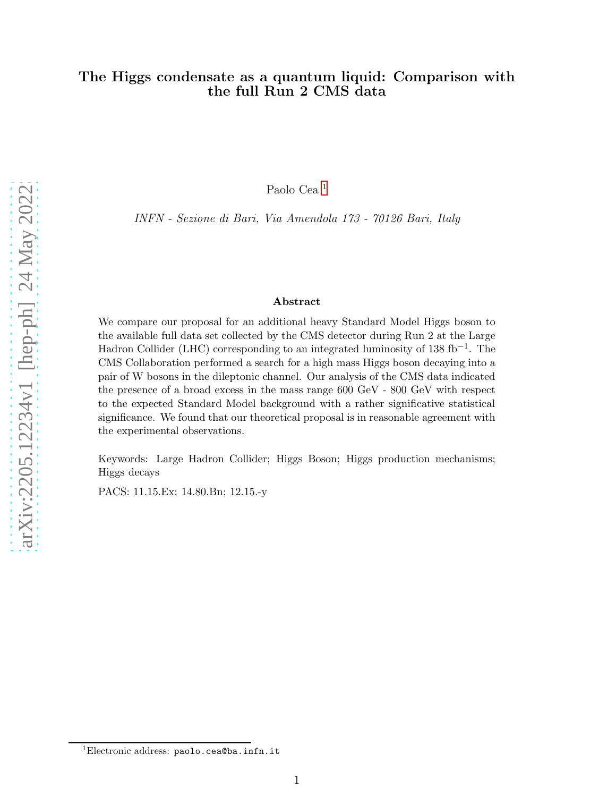### The Higgs condensate as a quantum liquid: Comparison with the full Run 2 CMS data

Paolo Cea [1](#page-0-0)

INFN - Sezione di Bari, Via Amendola 173 - 70126 Bari, Italy

#### Abstract

We compare our proposal for an additional heavy Standard Model Higgs boson to the available full data set collected by the CMS detector during Run 2 at the Large Hadron Collider (LHC) corresponding to an integrated luminosity of 138 fb<sup>-1</sup>. The CMS Collaboration performed a search for a high mass Higgs boson decaying into a pair of W bosons in the dileptonic channel. Our analysis of the CMS data indicated the presence of a broad excess in the mass range 600 GeV - 800 GeV with respect to the expected Standard Model background with a rather significative statistical significance. We found that our theoretical proposal is in reasonable agreement with the experimental observations.

Keywords: Large Hadron Collider; Higgs Boson; Higgs production mechanisms; Higgs decays

PACS: 11.15.Ex; 14.80.Bn; 12.15.-y

<span id="page-0-0"></span><sup>1</sup>Electronic address: paolo.cea@ba.infn.it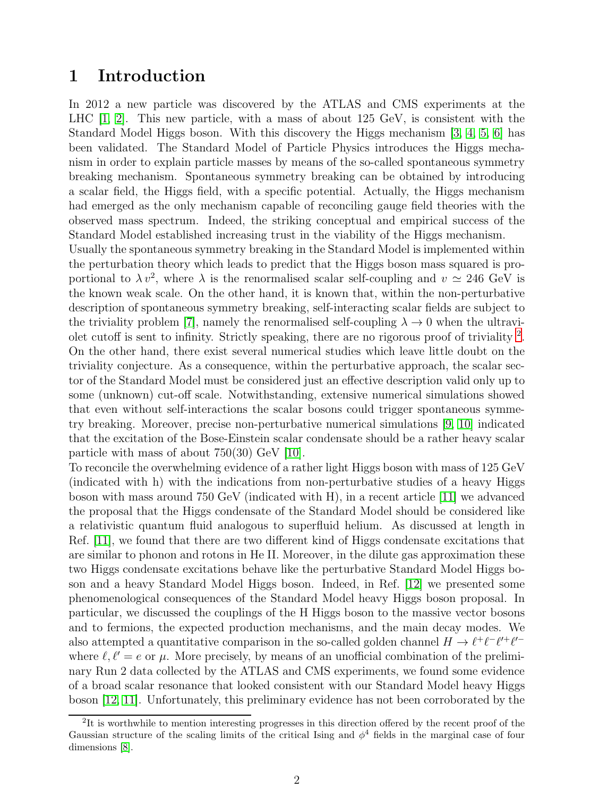# 1 Introduction

In 2012 a new particle was discovered by the ATLAS and CMS experiments at the LHC [\[1,](#page-8-0) [2\]](#page-8-1). This new particle, with a mass of about 125 GeV, is consistent with the Standard Model Higgs boson. With this discovery the Higgs mechanism [\[3,](#page-8-2) [4,](#page-9-0) [5,](#page-9-1) [6\]](#page-9-2) has been validated. The Standard Model of Particle Physics introduces the Higgs mechanism in order to explain particle masses by means of the so-called spontaneous symmetry breaking mechanism. Spontaneous symmetry breaking can be obtained by introducing a scalar field, the Higgs field, with a specific potential. Actually, the Higgs mechanism had emerged as the only mechanism capable of reconciling gauge field theories with the observed mass spectrum. Indeed, the striking conceptual and empirical success of the Standard Model established increasing trust in the viability of the Higgs mechanism.

Usually the spontaneous symmetry breaking in the Standard Model is implemented within the perturbation theory which leads to predict that the Higgs boson mass squared is proportional to  $\lambda v^2$ , where  $\lambda$  is the renormalised scalar self-coupling and  $v \simeq 246$  GeV is the known weak scale. On the other hand, it is known that, within the non-perturbative description of spontaneous symmetry breaking, self-interacting scalar fields are subject to the triviality problem [\[7\]](#page-9-3), namely the renormalised self-coupling  $\lambda \to 0$  when the ultravi-olet cutoff is sent to infinity. Strictly speaking, there are no rigorous proof of triviality <sup>[2](#page-1-0)</sup>. On the other hand, there exist several numerical studies which leave little doubt on the triviality conjecture. As a consequence, within the perturbative approach, the scalar sector of the Standard Model must be considered just an effective description valid only up to some (unknown) cut-off scale. Notwithstanding, extensive numerical simulations showed that even without self-interactions the scalar bosons could trigger spontaneous symmetry breaking. Moreover, precise non-perturbative numerical simulations [\[9,](#page-9-4) [10\]](#page-9-5) indicated that the excitation of the Bose-Einstein scalar condensate should be a rather heavy scalar particle with mass of about  $750(30)$  GeV [\[10\]](#page-9-5).

To reconcile the overwhelming evidence of a rather light Higgs boson with mass of 125 GeV (indicated with h) with the indications from non-perturbative studies of a heavy Higgs boson with mass around 750 GeV (indicated with H), in a recent article [\[11\]](#page-9-6) we advanced the proposal that the Higgs condensate of the Standard Model should be considered like a relativistic quantum fluid analogous to superfluid helium. As discussed at length in Ref. [\[11\]](#page-9-6), we found that there are two different kind of Higgs condensate excitations that are similar to phonon and rotons in He II. Moreover, in the dilute gas approximation these two Higgs condensate excitations behave like the perturbative Standard Model Higgs boson and a heavy Standard Model Higgs boson. Indeed, in Ref. [\[12\]](#page-9-7) we presented some phenomenological consequences of the Standard Model heavy Higgs boson proposal. In particular, we discussed the couplings of the H Higgs boson to the massive vector bosons and to fermions, the expected production mechanisms, and the main decay modes. We also attempted a quantitative comparison in the so-called golden channel  $H \to \ell^+ \ell^- \ell'^+ \ell'^$ where  $\ell, \ell' = e$  or  $\mu$ . More precisely, by means of an unofficial combination of the preliminary Run 2 data collected by the ATLAS and CMS experiments, we found some evidence of a broad scalar resonance that looked consistent with our Standard Model heavy Higgs boson [\[12,](#page-9-7) [11\]](#page-9-6). Unfortunately, this preliminary evidence has not been corroborated by the

<span id="page-1-0"></span><sup>&</sup>lt;sup>2</sup>It is worthwhile to mention interesting progresses in this direction offered by the recent proof of the Gaussian structure of the scaling limits of the critical Ising and  $\phi^4$  fields in the marginal case of four dimensions [\[8\]](#page-9-8).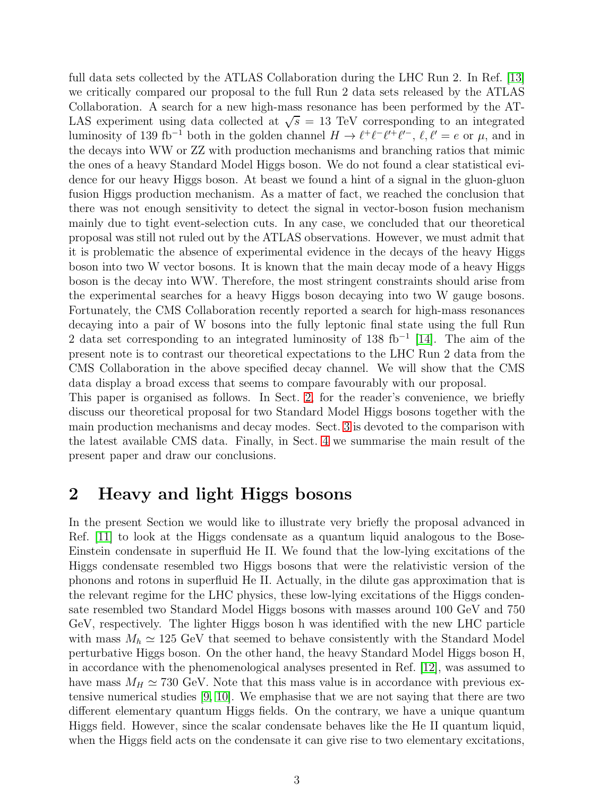full data sets collected by the ATLAS Collaboration during the LHC Run 2. In Ref. [\[13\]](#page-9-9) we critically compared our proposal to the full Run 2 data sets released by the ATLAS Collaboration. A search for a new high-mass resonance has been performed by the AT-LAS experiment using data collected at  $\sqrt{s} = 13$  TeV corresponding to an integrated luminosity of 139 fb<sup>-1</sup> both in the golden channel  $H \to \ell^+ \ell^- \ell^+ \ell^-$ ,  $\ell, \ell' = e$  or  $\mu$ , and in the decays into WW or ZZ with production mechanisms and branching ratios that mimic the ones of a heavy Standard Model Higgs boson. We do not found a clear statistical evidence for our heavy Higgs boson. At beast we found a hint of a signal in the gluon-gluon fusion Higgs production mechanism. As a matter of fact, we reached the conclusion that there was not enough sensitivity to detect the signal in vector-boson fusion mechanism mainly due to tight event-selection cuts. In any case, we concluded that our theoretical proposal was still not ruled out by the ATLAS observations. However, we must admit that it is problematic the absence of experimental evidence in the decays of the heavy Higgs boson into two W vector bosons. It is known that the main decay mode of a heavy Higgs boson is the decay into WW. Therefore, the most stringent constraints should arise from the experimental searches for a heavy Higgs boson decaying into two W gauge bosons. Fortunately, the CMS Collaboration recently reported a search for high-mass resonances decaying into a pair of W bosons into the fully leptonic final state using the full Run 2 data set corresponding to an integrated luminosity of 138 fb<sup>-1</sup> [\[14\]](#page-9-10). The aim of the present note is to contrast our theoretical expectations to the LHC Run 2 data from the CMS Collaboration in the above specified decay channel. We will show that the CMS data display a broad excess that seems to compare favourably with our proposal.

This paper is organised as follows. In Sect. [2,](#page-2-0) for the reader's convenience, we briefly discuss our theoretical proposal for two Standard Model Higgs bosons together with the main production mechanisms and decay modes. Sect. [3](#page-5-0) is devoted to the comparison with the latest available CMS data. Finally, in Sect. [4](#page-8-3) we summarise the main result of the present paper and draw our conclusions.

# <span id="page-2-0"></span>2 Heavy and light Higgs bosons

In the present Section we would like to illustrate very briefly the proposal advanced in Ref. [\[11\]](#page-9-6) to look at the Higgs condensate as a quantum liquid analogous to the Bose-Einstein condensate in superfluid He II. We found that the low-lying excitations of the Higgs condensate resembled two Higgs bosons that were the relativistic version of the phonons and rotons in superfluid He II. Actually, in the dilute gas approximation that is the relevant regime for the LHC physics, these low-lying excitations of the Higgs condensate resembled two Standard Model Higgs bosons with masses around 100 GeV and 750 GeV, respectively. The lighter Higgs boson h was identified with the new LHC particle with mass  $M_h \simeq 125 \text{ GeV}$  that seemed to behave consistently with the Standard Model perturbative Higgs boson. On the other hand, the heavy Standard Model Higgs boson H, in accordance with the phenomenological analyses presented in Ref. [\[12\]](#page-9-7), was assumed to have mass  $M_H \simeq 730$  GeV. Note that this mass value is in accordance with previous extensive numerical studies [\[9,](#page-9-4) [10\]](#page-9-5). We emphasise that we are not saying that there are two different elementary quantum Higgs fields. On the contrary, we have a unique quantum Higgs field. However, since the scalar condensate behaves like the He II quantum liquid, when the Higgs field acts on the condensate it can give rise to two elementary excitations,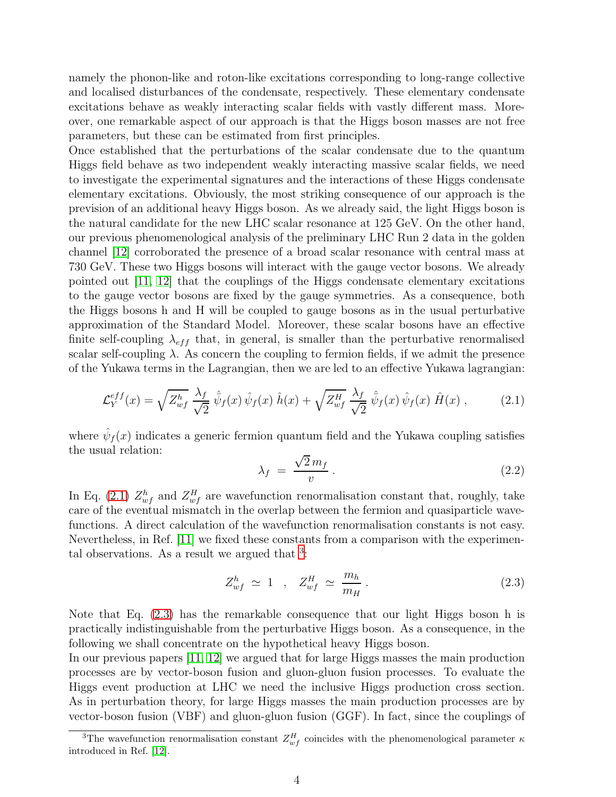namely the phonon-like and roton-like excitations corresponding to long-range collective and localised disturbances of the condensate, respectively. These elementary condensate excitations behave as weakly interacting scalar fields with vastly different mass. Moreover, one remarkable aspect of our approach is that the Higgs boson masses are not free parameters, but these can be estimated from first principles.

Once established that the perturbations of the scalar condensate due to the quantum Higgs field behave as two independent weakly interacting massive scalar fields, we need to investigate the experimental signatures and the interactions of these Higgs condensate elementary excitations. Obviously, the most striking consequence of our approach is the prevision of an additional heavy Higgs boson. As we already said, the light Higgs boson is the natural candidate for the new LHC scalar resonance at 125 GeV. On the other hand, our previous phenomenological analysis of the preliminary LHC Run 2 data in the golden channel [\[12\]](#page-9-7) corroborated the presence of a broad scalar resonance with central mass at 730 GeV. These two Higgs bosons will interact with the gauge vector bosons. We already pointed out [\[11,](#page-9-6) [12\]](#page-9-7) that the couplings of the Higgs condensate elementary excitations to the gauge vector bosons are fixed by the gauge symmetries. As a consequence, both the Higgs bosons h and H will be coupled to gauge bosons as in the usual perturbative approximation of the Standard Model. Moreover, these scalar bosons have an effective finite self-coupling  $\lambda_{eff}$  that, in general, is smaller than the perturbative renormalised scalar self-coupling  $\lambda$ . As concern the coupling to fermion fields, if we admit the presence of the Yukawa terms in the Lagrangian, then we are led to an effective Yukawa lagrangian:

<span id="page-3-0"></span>
$$
\mathcal{L}_Y^{eff}(x) = \sqrt{Z_{wf}^h} \frac{\lambda_f}{\sqrt{2}} \hat{\psi}_f(x) \hat{\psi}_f(x) \hat{h}(x) + \sqrt{Z_{wf}^H} \frac{\lambda_f}{\sqrt{2}} \hat{\psi}_f(x) \hat{\psi}_f(x) \hat{H}(x) , \qquad (2.1)
$$

where  $\hat{\psi}_f(x)$  indicates a generic fermion quantum field and the Yukawa coupling satisfies the usual relation:

$$
\lambda_f = \frac{\sqrt{2}m_f}{v} \,. \tag{2.2}
$$

In Eq. [\(2.1\)](#page-3-0)  $Z_{wf}^h$  and  $Z_{wf}^H$  are wavefunction renormalisation constant that, roughly, take care of the eventual mismatch in the overlap between the fermion and quasiparticle wavefunctions. A direct calculation of the wavefunction renormalisation constants is not easy. Nevertheless, in Ref. [\[11\]](#page-9-6) we fixed these constants from a comparison with the experimental observations. As a result we argued that  $3$ :

<span id="page-3-2"></span>
$$
Z_{wf}^h \simeq 1 \quad , \quad Z_{wf}^H \simeq \frac{m_h}{m_H} \,. \tag{2.3}
$$

Note that Eq. [\(2.3\)](#page-3-2) has the remarkable consequence that our light Higgs boson h is practically indistinguishable from the perturbative Higgs boson. As a consequence, in the following we shall concentrate on the hypothetical heavy Higgs boson.

In our previous papers [\[11,](#page-9-6) [12\]](#page-9-7) we argued that for large Higgs masses the main production processes are by vector-boson fusion and gluon-gluon fusion processes. To evaluate the Higgs event production at LHC we need the inclusive Higgs production cross section. As in perturbation theory, for large Higgs masses the main production processes are by vector-boson fusion (VBF) and gluon-gluon fusion (GGF). In fact, since the couplings of

<span id="page-3-1"></span><sup>&</sup>lt;sup>3</sup>The wavefunction renormalisation constant  $Z_{wf}^H$  coincides with the phenomenological parameter  $\kappa$ introduced in Ref. [\[12\]](#page-9-7).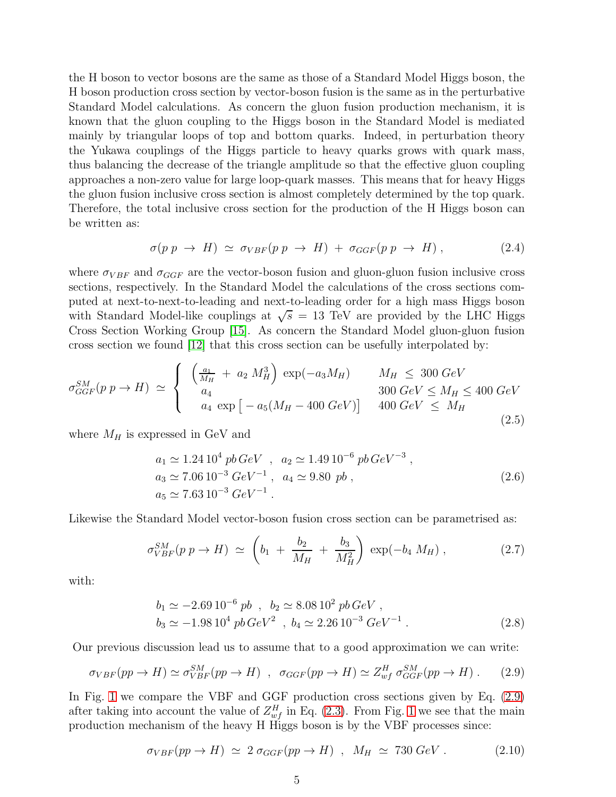the H boson to vector bosons are the same as those of a Standard Model Higgs boson, the H boson production cross section by vector-boson fusion is the same as in the perturbative Standard Model calculations. As concern the gluon fusion production mechanism, it is known that the gluon coupling to the Higgs boson in the Standard Model is mediated mainly by triangular loops of top and bottom quarks. Indeed, in perturbation theory the Yukawa couplings of the Higgs particle to heavy quarks grows with quark mass, thus balancing the decrease of the triangle amplitude so that the effective gluon coupling approaches a non-zero value for large loop-quark masses. This means that for heavy Higgs the gluon fusion inclusive cross section is almost completely determined by the top quark. Therefore, the total inclusive cross section for the production of the H Higgs boson can be written as:

<span id="page-4-1"></span>
$$
\sigma(p \ p \ \rightarrow \ H) \ \simeq \ \sigma_{VBF}(p \ p \ \rightarrow \ H) \ + \ \sigma_{GGF}(p \ p \ \rightarrow \ H) \ , \tag{2.4}
$$

where  $\sigma_{VBF}$  and  $\sigma_{GGF}$  are the vector-boson fusion and gluon-gluon fusion inclusive cross sections, respectively. In the Standard Model the calculations of the cross sections computed at next-to-next-to-leading and next-to-leading order for a high mass Higgs boson with Standard Model-like couplings at  $\sqrt{s} = 13$  TeV are provided by the LHC Higgs Cross Section Working Group [\[15\]](#page-9-11). As concern the Standard Model gluon-gluon fusion cross section we found [\[12\]](#page-9-7) that this cross section can be usefully interpolated by:

$$
\sigma_{GGF}^{SM}(p \ p \to H) \simeq \begin{cases} \left(\frac{a_1}{M_H} + a_2 M_H^3\right) \exp(-a_3 M_H) & M_H \leq 300 \ GeV\\ a_4 & 300 \ GeV \leq M_H \leq 400 \ GeV\\ a_4 \ \exp\left[-a_5(M_H - 400 \ GeV)\right] & 400 \ GeV \leq M_H \end{cases} \tag{2.5}
$$

where  $M_H$  is expressed in GeV and

$$
a_1 \simeq 1.24 \, 10^4 \, pb \, GeV \quad , \quad a_2 \simeq 1.49 \, 10^{-6} \, pb \, GeV^{-3} \,,
$$
  
\n
$$
a_3 \simeq 7.06 \, 10^{-3} \, GeV^{-1} \,, \quad a_4 \simeq 9.80 \, pb \,,
$$
  
\n
$$
a_5 \simeq 7.63 \, 10^{-3} \, GeV^{-1} \,.
$$
\n(2.6)

Likewise the Standard Model vector-boson fusion cross section can be parametrised as:

$$
\sigma_{VBF}^{SM}(p \ p \to H) \simeq \left(b_1 + \frac{b_2}{M_H} + \frac{b_3}{M_H^2}\right) \exp(-b_4 \ M_H) \ , \tag{2.7}
$$

with:

$$
b_1 \simeq -2.69 \, 10^{-6} \, pb \, , \, b_2 \simeq 8.08 \, 10^2 \, pb \, GeV \, ,
$$
  
\n
$$
b_3 \simeq -1.98 \, 10^4 \, pb \, GeV^2 \, , \, b_4 \simeq 2.26 \, 10^{-3} \, GeV^{-1} \, .
$$
\n(2.8)

Our previous discussion lead us to assume that to a good approximation we can write:

<span id="page-4-0"></span>
$$
\sigma_{VBF}(pp \to H) \simeq \sigma_{VBF}^{SM}(pp \to H) \ , \ \sigma_{GGF}(pp \to H) \simeq Z_{wf}^H \sigma_{GGF}^{SM}(pp \to H) \ . \tag{2.9}
$$

In Fig. [1](#page-5-1) we compare the VBF and GGF production cross sections given by Eq. [\(2.9\)](#page-4-0) after taking into account the value of  $Z_{wf}^H$  in Eq. [\(2.3\)](#page-3-2). From Fig. [1](#page-5-1) we see that the main production mechanism of the heavy H Higgs boson is by the VBF processes since:

<span id="page-4-2"></span>
$$
\sigma_{VBF}(pp \to H) \simeq 2 \sigma_{GGF}(pp \to H) , \ M_H \simeq 730 \ GeV . \tag{2.10}
$$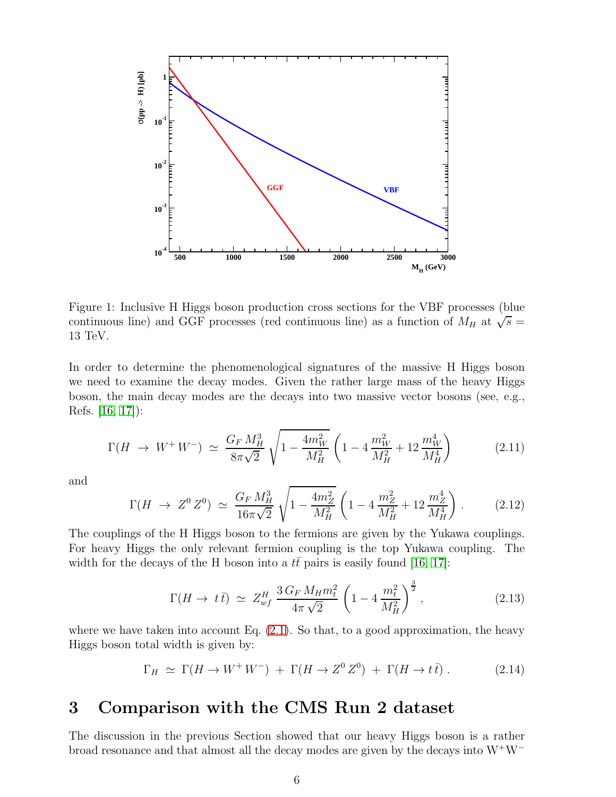

<span id="page-5-1"></span>Figure 1: Inclusive H Higgs boson production cross sections for the VBF processes (blue continuous line) and GGF processes (red continuous line) as a function of  $M_H$  at  $\sqrt{s}$  = 13 TeV.

In order to determine the phenomenological signatures of the massive H Higgs boson we need to examine the decay modes. Given the rather large mass of the heavy Higgs boson, the main decay modes are the decays into two massive vector bosons (see, e.g., Refs. [\[16,](#page-9-12) [17\]](#page-9-13)):

$$
\Gamma(H \to W^+ W^-) \simeq \frac{G_F M_H^3}{8\pi\sqrt{2}} \sqrt{1 - \frac{4m_W^2}{M_H^2}} \left(1 - 4\frac{m_W^2}{M_H^2} + 12\frac{m_W^4}{M_H^4}\right) \tag{2.11}
$$

and

$$
\Gamma(H \to Z^0 Z^0) \simeq \frac{G_F M_H^3}{16\pi\sqrt{2}} \sqrt{1 - \frac{4m_Z^2}{M_H^2}} \left(1 - 4\frac{m_Z^2}{M_H^2} + 12\frac{m_Z^4}{M_H^4}\right). \tag{2.12}
$$

The couplings of the H Higgs boson to the fermions are given by the Yukawa couplings. For heavy Higgs the only relevant fermion coupling is the top Yukawa coupling. The width for the decays of the H boson into a  $t\bar{t}$  pairs is easily found [\[16,](#page-9-12) [17\]](#page-9-13):

$$
\Gamma(H \to t\bar{t}) \simeq Z_{wf}^H \frac{3\,G_F \, M_H m_t^2}{4\pi\,\sqrt{2}} \left(1 - 4\frac{m_t^2}{M_H^2}\right)^{\frac{3}{2}},\tag{2.13}
$$

where we have taken into account Eq.  $(2.1)$ . So that, to a good approximation, the heavy Higgs boson total width is given by:

$$
\Gamma_H \simeq \Gamma(H \to W^+ W^-) + \Gamma(H \to Z^0 Z^0) + \Gamma(H \to t\bar{t}). \tag{2.14}
$$

# <span id="page-5-0"></span>3 Comparison with the CMS Run 2 dataset

The discussion in the previous Section showed that our heavy Higgs boson is a rather broad resonance and that almost all the decay modes are given by the decays into W<sup>+</sup>W<sup>−</sup>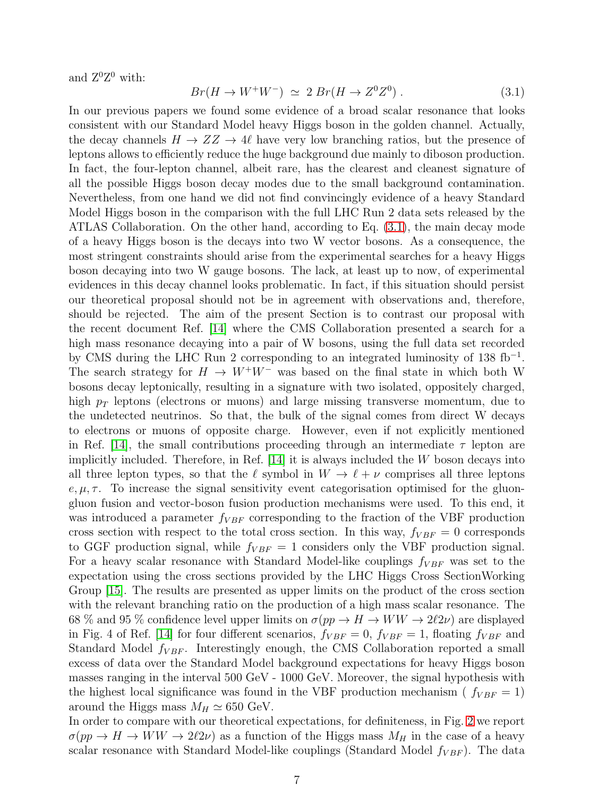and  $Z^0Z^0$  with:

<span id="page-6-0"></span>
$$
Br(H \to W^+W^-) \simeq 2 \ Br(H \to Z^0 Z^0) \ . \tag{3.1}
$$

In our previous papers we found some evidence of a broad scalar resonance that looks consistent with our Standard Model heavy Higgs boson in the golden channel. Actually, the decay channels  $H \to ZZ \to 4\ell$  have very low branching ratios, but the presence of leptons allows to efficiently reduce the huge background due mainly to diboson production. In fact, the four-lepton channel, albeit rare, has the clearest and cleanest signature of all the possible Higgs boson decay modes due to the small background contamination. Nevertheless, from one hand we did not find convincingly evidence of a heavy Standard Model Higgs boson in the comparison with the full LHC Run 2 data sets released by the ATLAS Collaboration. On the other hand, according to Eq. [\(3.1\)](#page-6-0), the main decay mode of a heavy Higgs boson is the decays into two W vector bosons. As a consequence, the most stringent constraints should arise from the experimental searches for a heavy Higgs boson decaying into two W gauge bosons. The lack, at least up to now, of experimental evidences in this decay channel looks problematic. In fact, if this situation should persist our theoretical proposal should not be in agreement with observations and, therefore, should be rejected. The aim of the present Section is to contrast our proposal with the recent document Ref. [\[14\]](#page-9-10) where the CMS Collaboration presented a search for a high mass resonance decaying into a pair of W bosons, using the full data set recorded by CMS during the LHC Run 2 corresponding to an integrated luminosity of 138 fb<sup>-1</sup>. The search strategy for  $H \to W^+W^-$  was based on the final state in which both W bosons decay leptonically, resulting in a signature with two isolated, oppositely charged, high  $p_T$  leptons (electrons or muons) and large missing transverse momentum, due to the undetected neutrinos. So that, the bulk of the signal comes from direct W decays to electrons or muons of opposite charge. However, even if not explicitly mentioned in Ref. [\[14\]](#page-9-10), the small contributions proceeding through an intermediate  $\tau$  lepton are implicitly included. Therefore, in Ref. [\[14\]](#page-9-10) it is always included the W boson decays into all three lepton types, so that the  $\ell$  symbol in  $W \to \ell + \nu$  comprises all three leptons e,  $\mu$ ,  $\tau$ . To increase the signal sensitivity event categorisation optimised for the gluongluon fusion and vector-boson fusion production mechanisms were used. To this end, it was introduced a parameter  $f_{VBF}$  corresponding to the fraction of the VBF production cross section with respect to the total cross section. In this way,  $f_{VBF} = 0$  corresponds to GGF production signal, while  $f_{VBF} = 1$  considers only the VBF production signal. For a heavy scalar resonance with Standard Model-like couplings  $f_{VBF}$  was set to the expectation using the cross sections provided by the LHC Higgs Cross SectionWorking Group [\[15\]](#page-9-11). The results are presented as upper limits on the product of the cross section with the relevant branching ratio on the production of a high mass scalar resonance. The 68 % and 95 % confidence level upper limits on  $\sigma(pp \to H \to WW \to 2\ell 2\nu)$  are displayed in Fig. 4 of Ref. [\[14\]](#page-9-10) for four different scenarios,  $f_{VBF} = 0$ ,  $f_{VBF} = 1$ , floating  $f_{VBF}$  and Standard Model  $f_{VBF}$ . Interestingly enough, the CMS Collaboration reported a small excess of data over the Standard Model background expectations for heavy Higgs boson masses ranging in the interval 500 GeV - 1000 GeV. Moreover, the signal hypothesis with the highest local significance was found in the VBF production mechanism ( $f_{VBF} = 1$ ) around the Higgs mass  $M_H \simeq 650$  GeV.

In order to compare with our theoretical expectations, for definiteness, in Fig. [2](#page-7-0) we report  $\sigma(pp \to H \to WW \to 2\ell 2\nu)$  as a function of the Higgs mass  $M_H$  in the case of a heavy scalar resonance with Standard Model-like couplings (Standard Model  $f_{VBF}$ ). The data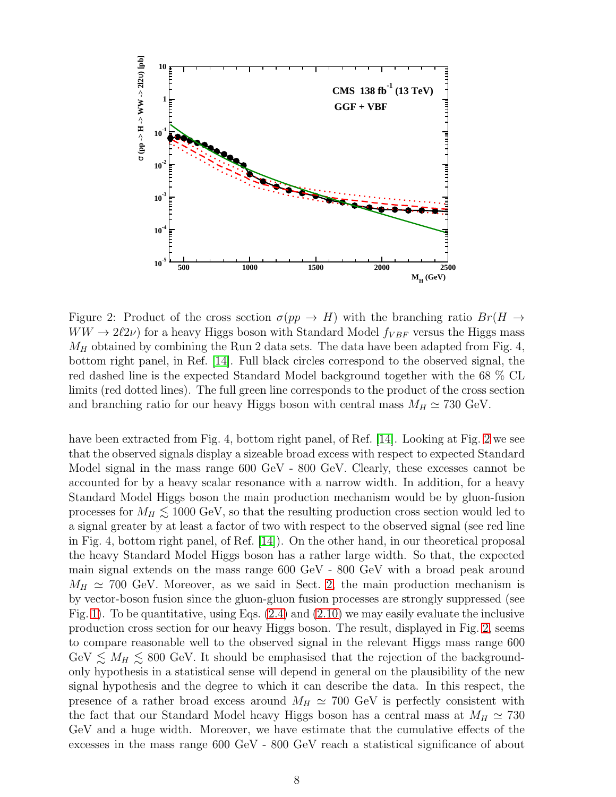

<span id="page-7-0"></span>Figure 2: Product of the cross section  $\sigma(pp \to H)$  with the branching ratio  $Br(H \to$  $WW \rightarrow 2\ell 2\nu$  for a heavy Higgs boson with Standard Model  $f_{VBF}$  versus the Higgs mass  $M_H$  obtained by combining the Run 2 data sets. The data have been adapted from Fig. 4, bottom right panel, in Ref. [\[14\]](#page-9-10). Full black circles correspond to the observed signal, the red dashed line is the expected Standard Model background together with the 68 % CL limits (red dotted lines). The full green line corresponds to the product of the cross section and branching ratio for our heavy Higgs boson with central mass  $M_H \simeq 730 \text{ GeV}$ .

have been extracted from Fig. 4, bottom right panel, of Ref. [\[14\]](#page-9-10). Looking at Fig. [2](#page-7-0) we see that the observed signals display a sizeable broad excess with respect to expected Standard Model signal in the mass range 600 GeV - 800 GeV. Clearly, these excesses cannot be accounted for by a heavy scalar resonance with a narrow width. In addition, for a heavy Standard Model Higgs boson the main production mechanism would be by gluon-fusion processes for  $M_H \lesssim 1000$  GeV, so that the resulting production cross section would led to a signal greater by at least a factor of two with respect to the observed signal (see red line in Fig. 4, bottom right panel, of Ref. [\[14\]](#page-9-10)). On the other hand, in our theoretical proposal the heavy Standard Model Higgs boson has a rather large width. So that, the expected main signal extends on the mass range 600 GeV - 800 GeV with a broad peak around  $M_H \simeq 700$  GeV. Moreover, as we said in Sect. [2,](#page-2-0) the main production mechanism is by vector-boson fusion since the gluon-gluon fusion processes are strongly suppressed (see Fig. [1\)](#page-5-1). To be quantitative, using Eqs. [\(2.4\)](#page-4-1) and [\(2.10\)](#page-4-2) we may easily evaluate the inclusive production cross section for our heavy Higgs boson. The result, displayed in Fig. [2,](#page-7-0) seems to compare reasonable well to the observed signal in the relevant Higgs mass range 600 GeV  $\lesssim M_H \lesssim 800$  GeV. It should be emphasised that the rejection of the backgroundonly hypothesis in a statistical sense will depend in general on the plausibility of the new signal hypothesis and the degree to which it can describe the data. In this respect, the presence of a rather broad excess around  $M_H \simeq 700$  GeV is perfectly consistent with the fact that our Standard Model heavy Higgs boson has a central mass at  $M_H \simeq 730$ GeV and a huge width. Moreover, we have estimate that the cumulative effects of the excesses in the mass range 600 GeV - 800 GeV reach a statistical significance of about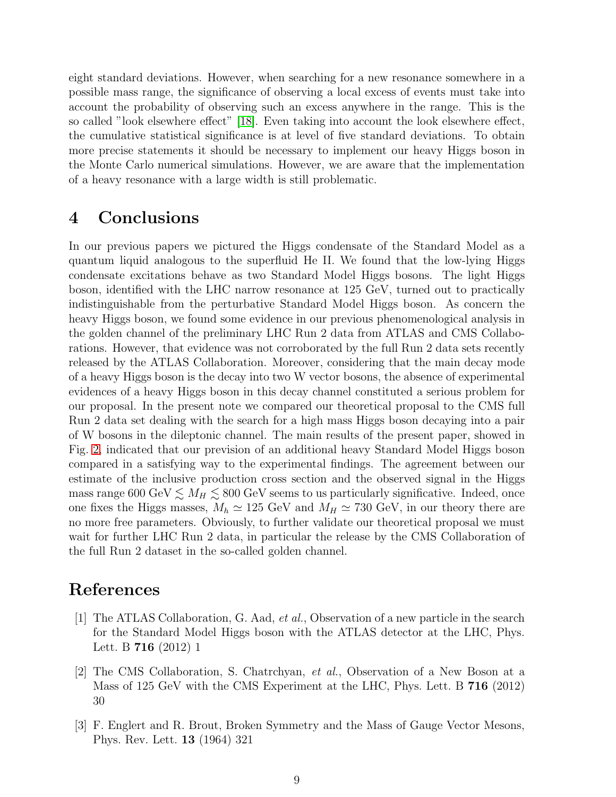eight standard deviations. However, when searching for a new resonance somewhere in a possible mass range, the significance of observing a local excess of events must take into account the probability of observing such an excess anywhere in the range. This is the so called "look elsewhere effect" [\[18\]](#page-9-14). Even taking into account the look elsewhere effect, the cumulative statistical significance is at level of five standard deviations. To obtain more precise statements it should be necessary to implement our heavy Higgs boson in the Monte Carlo numerical simulations. However, we are aware that the implementation of a heavy resonance with a large width is still problematic.

# <span id="page-8-3"></span>4 Conclusions

In our previous papers we pictured the Higgs condensate of the Standard Model as a quantum liquid analogous to the superfluid He II. We found that the low-lying Higgs condensate excitations behave as two Standard Model Higgs bosons. The light Higgs boson, identified with the LHC narrow resonance at 125 GeV, turned out to practically indistinguishable from the perturbative Standard Model Higgs boson. As concern the heavy Higgs boson, we found some evidence in our previous phenomenological analysis in the golden channel of the preliminary LHC Run 2 data from ATLAS and CMS Collaborations. However, that evidence was not corroborated by the full Run 2 data sets recently released by the ATLAS Collaboration. Moreover, considering that the main decay mode of a heavy Higgs boson is the decay into two W vector bosons, the absence of experimental evidences of a heavy Higgs boson in this decay channel constituted a serious problem for our proposal. In the present note we compared our theoretical proposal to the CMS full Run 2 data set dealing with the search for a high mass Higgs boson decaying into a pair of W bosons in the dileptonic channel. The main results of the present paper, showed in Fig. [2,](#page-7-0) indicated that our prevision of an additional heavy Standard Model Higgs boson compared in a satisfying way to the experimental findings. The agreement between our estimate of the inclusive production cross section and the observed signal in the Higgs mass range 600 GeV  $\lesssim M_H \lesssim 800$  GeV seems to us particularly significative. Indeed, once one fixes the Higgs masses,  $M_h \simeq 125 \text{ GeV}$  and  $M_H \simeq 730 \text{ GeV}$ , in our theory there are no more free parameters. Obviously, to further validate our theoretical proposal we must wait for further LHC Run 2 data, in particular the release by the CMS Collaboration of the full Run 2 dataset in the so-called golden channel.

# <span id="page-8-0"></span>References

- [1] The ATLAS Collaboration, G. Aad, et al., Observation of a new particle in the search for the Standard Model Higgs boson with the ATLAS detector at the LHC, Phys. Lett. B 716 (2012) 1
- <span id="page-8-1"></span>[2] The CMS Collaboration, S. Chatrchyan, et al., Observation of a New Boson at a Mass of 125 GeV with the CMS Experiment at the LHC, Phys. Lett. B 716 (2012) 30
- <span id="page-8-2"></span>[3] F. Englert and R. Brout, Broken Symmetry and the Mass of Gauge Vector Mesons, Phys. Rev. Lett. 13 (1964) 321